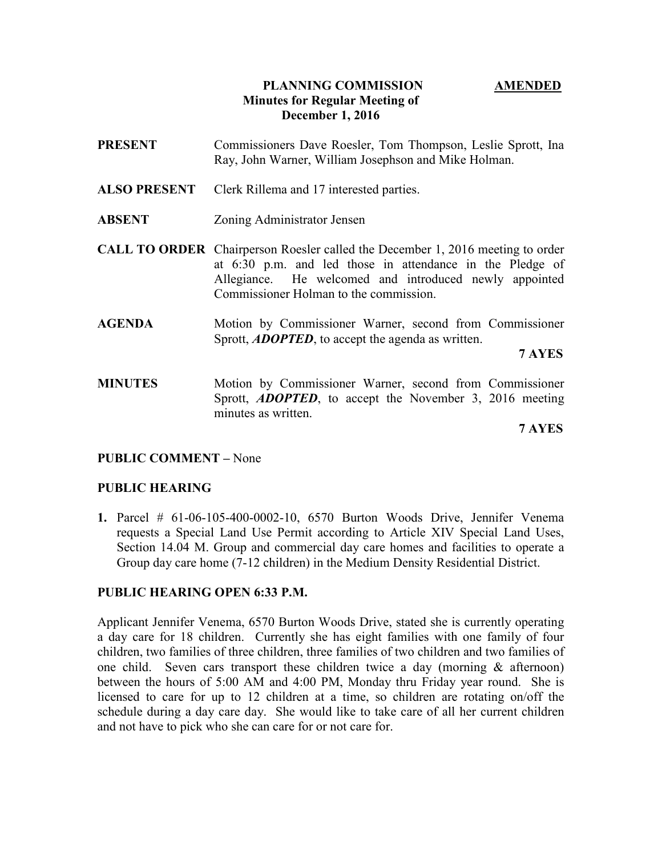## PLANNING COMMISSION AMENDED Minutes for Regular Meeting of December 1, 2016

- PRESENT Commissioners Dave Roesler, Tom Thompson, Leslie Sprott, Ina Ray, John Warner, William Josephson and Mike Holman.
- ALSO PRESENT Clerk Rillema and 17 interested parties.
- ABSENT Zoning Administrator Jensen
- CALL TO ORDER Chairperson Roesler called the December 1, 2016 meeting to order at 6:30 p.m. and led those in attendance in the Pledge of Allegiance. He welcomed and introduced newly appointed Commissioner Holman to the commission.
- AGENDA Motion by Commissioner Warner, second from Commissioner Sprott, **ADOPTED**, to accept the agenda as written.

7 AYES

MINUTES Motion by Commissioner Warner, second from Commissioner Sprott, **ADOPTED**, to accept the November 3, 2016 meeting minutes as written.

7 AYES

## PUBLIC COMMENT – None

#### PUBLIC HEARING

1. Parcel # 61-06-105-400-0002-10, 6570 Burton Woods Drive, Jennifer Venema requests a Special Land Use Permit according to Article XIV Special Land Uses, Section 14.04 M. Group and commercial day care homes and facilities to operate a Group day care home (7-12 children) in the Medium Density Residential District.

#### PUBLIC HEARING OPEN 6:33 P.M.

Applicant Jennifer Venema, 6570 Burton Woods Drive, stated she is currently operating a day care for 18 children. Currently she has eight families with one family of four children, two families of three children, three families of two children and two families of one child. Seven cars transport these children twice a day (morning  $\&$  afternoon) between the hours of 5:00 AM and 4:00 PM, Monday thru Friday year round. She is licensed to care for up to 12 children at a time, so children are rotating on/off the schedule during a day care day. She would like to take care of all her current children and not have to pick who she can care for or not care for.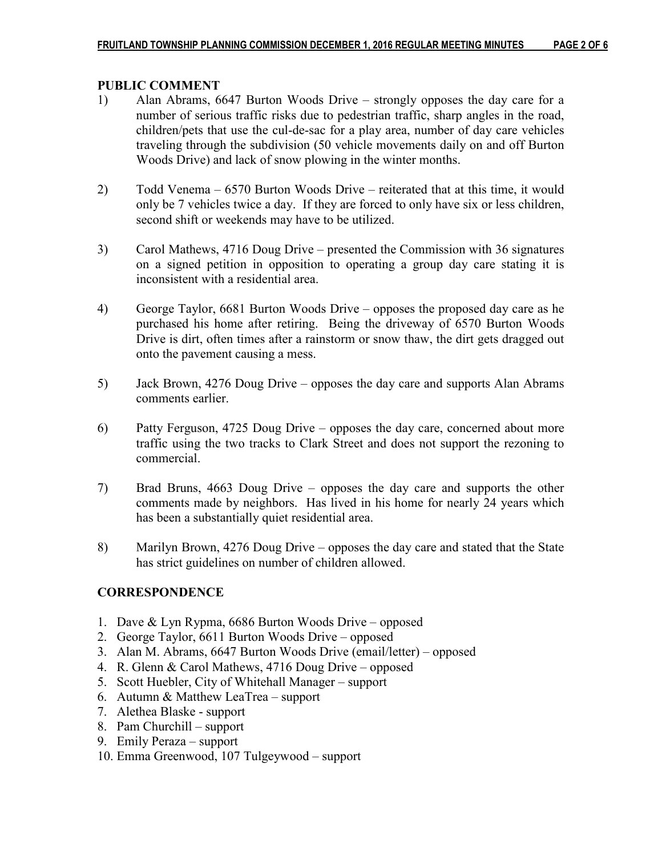#### PUBLIC COMMENT

- 1) Alan Abrams, 6647 Burton Woods Drive strongly opposes the day care for a number of serious traffic risks due to pedestrian traffic, sharp angles in the road, children/pets that use the cul-de-sac for a play area, number of day care vehicles traveling through the subdivision (50 vehicle movements daily on and off Burton Woods Drive) and lack of snow plowing in the winter months.
- 2) Todd Venema 6570 Burton Woods Drive reiterated that at this time, it would only be 7 vehicles twice a day. If they are forced to only have six or less children, second shift or weekends may have to be utilized.
- 3) Carol Mathews, 4716 Doug Drive presented the Commission with 36 signatures on a signed petition in opposition to operating a group day care stating it is inconsistent with a residential area.
- 4) George Taylor, 6681 Burton Woods Drive opposes the proposed day care as he purchased his home after retiring. Being the driveway of 6570 Burton Woods Drive is dirt, often times after a rainstorm or snow thaw, the dirt gets dragged out onto the pavement causing a mess.
- 5) Jack Brown, 4276 Doug Drive opposes the day care and supports Alan Abrams comments earlier.
- 6) Patty Ferguson, 4725 Doug Drive opposes the day care, concerned about more traffic using the two tracks to Clark Street and does not support the rezoning to commercial.
- 7) Brad Bruns, 4663 Doug Drive opposes the day care and supports the other comments made by neighbors. Has lived in his home for nearly 24 years which has been a substantially quiet residential area.
- 8) Marilyn Brown, 4276 Doug Drive opposes the day care and stated that the State has strict guidelines on number of children allowed.

## **CORRESPONDENCE**

- 1. Dave & Lyn Rypma, 6686 Burton Woods Drive opposed
- 2. George Taylor, 6611 Burton Woods Drive opposed
- 3. Alan M. Abrams, 6647 Burton Woods Drive (email/letter) opposed
- 4. R. Glenn & Carol Mathews, 4716 Doug Drive opposed
- 5. Scott Huebler, City of Whitehall Manager support
- 6. Autumn & Matthew LeaTrea support
- 7. Alethea Blaske support
- 8. Pam Churchill support
- 9. Emily Peraza support
- 10. Emma Greenwood, 107 Tulgeywood support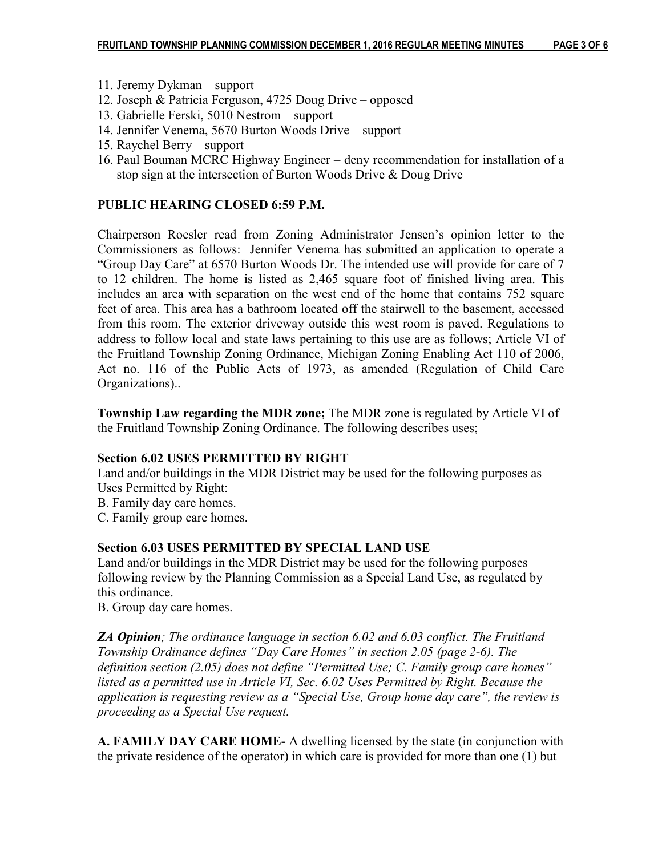- 11. Jeremy Dykman support
- 12. Joseph & Patricia Ferguson, 4725 Doug Drive opposed
- 13. Gabrielle Ferski, 5010 Nestrom support
- 14. Jennifer Venema, 5670 Burton Woods Drive support
- 15. Raychel Berry support
- 16. Paul Bouman MCRC Highway Engineer deny recommendation for installation of a stop sign at the intersection of Burton Woods Drive & Doug Drive

# PUBLIC HEARING CLOSED 6:59 P.M.

Chairperson Roesler read from Zoning Administrator Jensen's opinion letter to the Commissioners as follows: Jennifer Venema has submitted an application to operate a "Group Day Care" at 6570 Burton Woods Dr. The intended use will provide for care of 7 to 12 children. The home is listed as 2,465 square foot of finished living area. This includes an area with separation on the west end of the home that contains 752 square feet of area. This area has a bathroom located off the stairwell to the basement, accessed from this room. The exterior driveway outside this west room is paved. Regulations to address to follow local and state laws pertaining to this use are as follows; Article VI of the Fruitland Township Zoning Ordinance, Michigan Zoning Enabling Act 110 of 2006, Act no. 116 of the Public Acts of 1973, as amended (Regulation of Child Care Organizations)..

Township Law regarding the MDR zone; The MDR zone is regulated by Article VI of the Fruitland Township Zoning Ordinance. The following describes uses;

## Section 6.02 USES PERMITTED BY RIGHT

Land and/or buildings in the MDR District may be used for the following purposes as Uses Permitted by Right:

B. Family day care homes.

C. Family group care homes.

# Section 6.03 USES PERMITTED BY SPECIAL LAND USE

Land and/or buildings in the MDR District may be used for the following purposes following review by the Planning Commission as a Special Land Use, as regulated by this ordinance.

B. Group day care homes.

**ZA Opinion**; The ordinance language in section 6.02 and 6.03 conflict. The Fruitland Township Ordinance defines "Day Care Homes" in section 2.05 (page 2-6). The definition section (2.05) does not define "Permitted Use; C. Family group care homes" listed as a permitted use in Article VI, Sec. 6.02 Uses Permitted by Right. Because the application is requesting review as a "Special Use, Group home day care", the review is proceeding as a Special Use request.

A. FAMILY DAY CARE HOME- A dwelling licensed by the state (in conjunction with the private residence of the operator) in which care is provided for more than one (1) but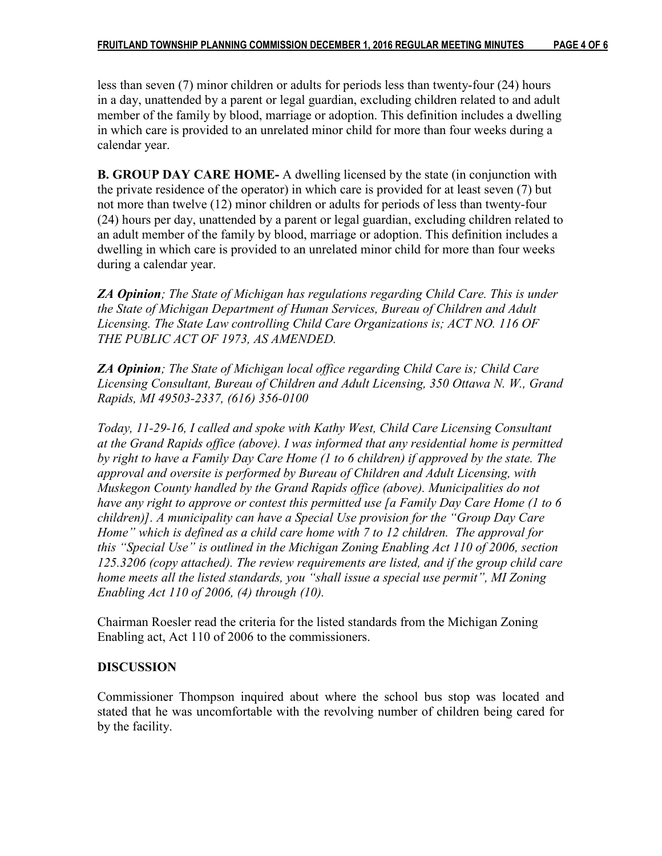less than seven (7) minor children or adults for periods less than twenty-four (24) hours in a day, unattended by a parent or legal guardian, excluding children related to and adult member of the family by blood, marriage or adoption. This definition includes a dwelling in which care is provided to an unrelated minor child for more than four weeks during a calendar year.

B. GROUP DAY CARE HOME- A dwelling licensed by the state (in conjunction with the private residence of the operator) in which care is provided for at least seven (7) but not more than twelve (12) minor children or adults for periods of less than twenty-four (24) hours per day, unattended by a parent or legal guardian, excluding children related to an adult member of the family by blood, marriage or adoption. This definition includes a dwelling in which care is provided to an unrelated minor child for more than four weeks during a calendar year.

**ZA Opinion**; The State of Michigan has regulations regarding Child Care. This is under the State of Michigan Department of Human Services, Bureau of Children and Adult Licensing. The State Law controlling Child Care Organizations is; ACT NO. 116 OF THE PUBLIC ACT OF 1973, AS AMENDED.

ZA Opinion; The State of Michigan local office regarding Child Care is; Child Care Licensing Consultant, Bureau of Children and Adult Licensing, 350 Ottawa N. W., Grand Rapids, MI 49503-2337, (616) 356-0100

Today, 11-29-16, I called and spoke with Kathy West, Child Care Licensing Consultant at the Grand Rapids office (above). I was informed that any residential home is permitted by right to have a Family Day Care Home (1 to 6 children) if approved by the state. The approval and oversite is performed by Bureau of Children and Adult Licensing, with Muskegon County handled by the Grand Rapids office (above). Municipalities do not have any right to approve or contest this permitted use [a Family Day Care Home (1 to 6 children)]. A municipality can have a Special Use provision for the "Group Day Care Home" which is defined as a child care home with 7 to 12 children. The approval for this "Special Use" is outlined in the Michigan Zoning Enabling Act 110 of 2006, section 125.3206 (copy attached). The review requirements are listed, and if the group child care home meets all the listed standards, you "shall issue a special use permit", MI Zoning Enabling Act 110 of 2006, (4) through (10).

Chairman Roesler read the criteria for the listed standards from the Michigan Zoning Enabling act, Act 110 of 2006 to the commissioners.

## DISCUSSION

Commissioner Thompson inquired about where the school bus stop was located and stated that he was uncomfortable with the revolving number of children being cared for by the facility.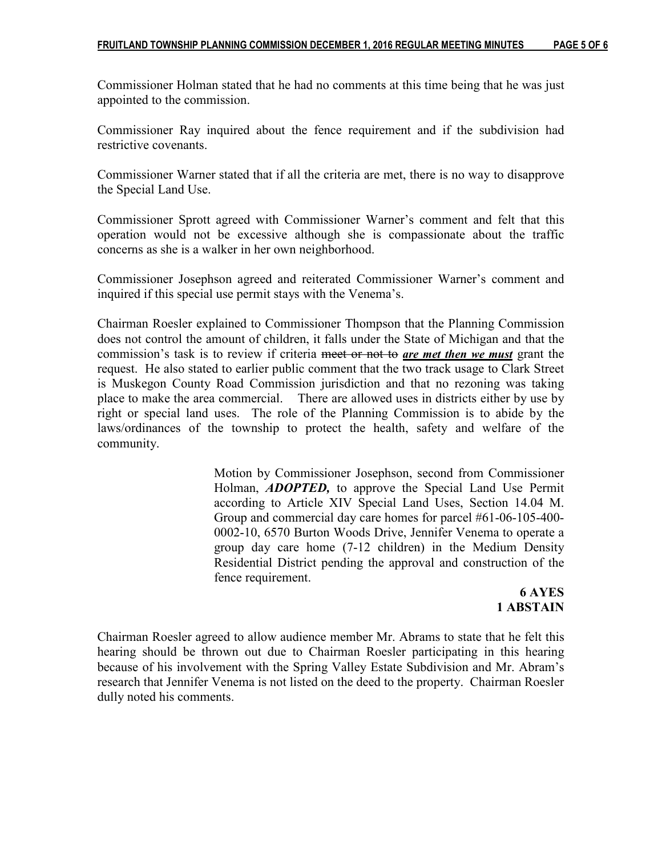Commissioner Holman stated that he had no comments at this time being that he was just appointed to the commission.

Commissioner Ray inquired about the fence requirement and if the subdivision had restrictive covenants.

Commissioner Warner stated that if all the criteria are met, there is no way to disapprove the Special Land Use.

Commissioner Sprott agreed with Commissioner Warner's comment and felt that this operation would not be excessive although she is compassionate about the traffic concerns as she is a walker in her own neighborhood.

Commissioner Josephson agreed and reiterated Commissioner Warner's comment and inquired if this special use permit stays with the Venema's.

Chairman Roesler explained to Commissioner Thompson that the Planning Commission does not control the amount of children, it falls under the State of Michigan and that the commission's task is to review if criteria meet or not to are met then we must grant the request. He also stated to earlier public comment that the two track usage to Clark Street is Muskegon County Road Commission jurisdiction and that no rezoning was taking place to make the area commercial. There are allowed uses in districts either by use by right or special land uses. The role of the Planning Commission is to abide by the laws/ordinances of the township to protect the health, safety and welfare of the community.

> Motion by Commissioner Josephson, second from Commissioner Holman, **ADOPTED**, to approve the Special Land Use Permit according to Article XIV Special Land Uses, Section 14.04 M. Group and commercial day care homes for parcel #61-06-105-400- 0002-10, 6570 Burton Woods Drive, Jennifer Venema to operate a group day care home (7-12 children) in the Medium Density Residential District pending the approval and construction of the fence requirement.

# 6 AYES 1 ABSTAIN

Chairman Roesler agreed to allow audience member Mr. Abrams to state that he felt this hearing should be thrown out due to Chairman Roesler participating in this hearing because of his involvement with the Spring Valley Estate Subdivision and Mr. Abram's research that Jennifer Venema is not listed on the deed to the property. Chairman Roesler dully noted his comments.